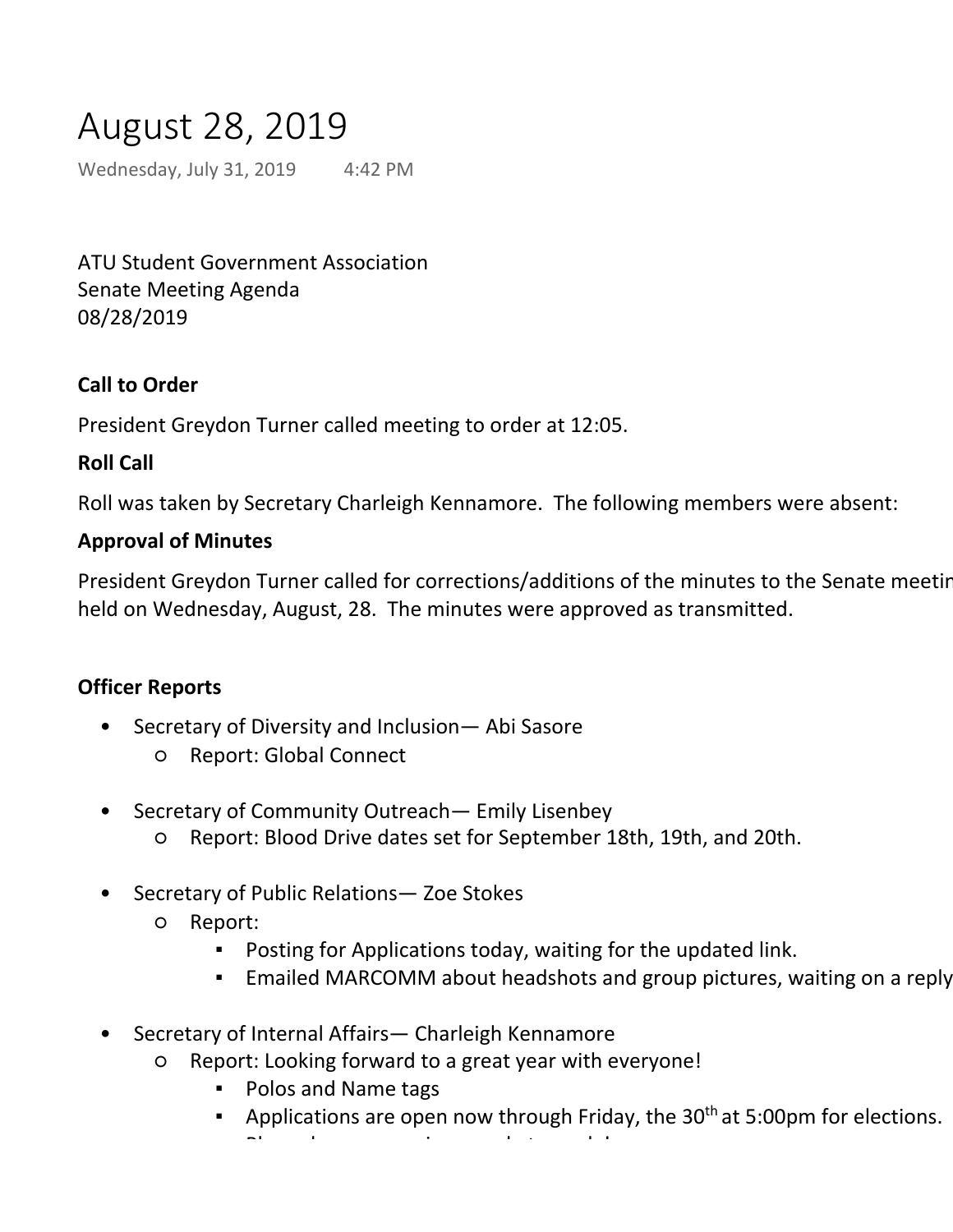# August 28, 2019

Wednesday, July 31, 2019 4:42 PM

ATU Student Government Association Senate Meeting Agenda 08/28/2019

# **Call to Order**

President Greydon Turner called meeting to order at 12:05.

# **Roll Call**

Roll was taken by Secretary Charleigh Kennamore. The following members were absent:

# **Approval of Minutes**

President Greydon Turner called for corrections/additions of the minutes to the Senate meeting held on Wednesday, August, 28. The minutes were approved as transmitted.

# **Officer Reports**

- Secretary of Diversity and Inclusion— Abi Sasore •
	- Report: Global Connect
- Secretary of Community Outreach— Emily Lisenbey •
	- Report: Blood Drive dates set for September 18th, 19th, and 20th.
- Secretary of Public Relations— Zoe Stokes •
	- Report:  $\Omega$ 
		- Posting for Applications today, waiting for the updated link.
		- **Emailed MARCOMM about headshots and group pictures, waiting on a reply.**
- Secretary of Internal Affairs— Charleigh Kennamore •
	- Report: Looking forward to a great year with everyone! ○
		- Polos and Name tags
		- Applications are open now through Friday, the  $30<sup>th</sup>$  at 5:00pm for elections. Please be encouraging people to apply!  $\blacksquare$
		- Election ballots will be open from Tuesday, September  $3<sup>rd</sup>$  at noon to Friday, September  $6<sup>th</sup>$  at 2:00 pm. ▪
		- $\blacksquare$  Me will be tabling at Chambers café Tuesday-Friday 11:00-1:00. Everyone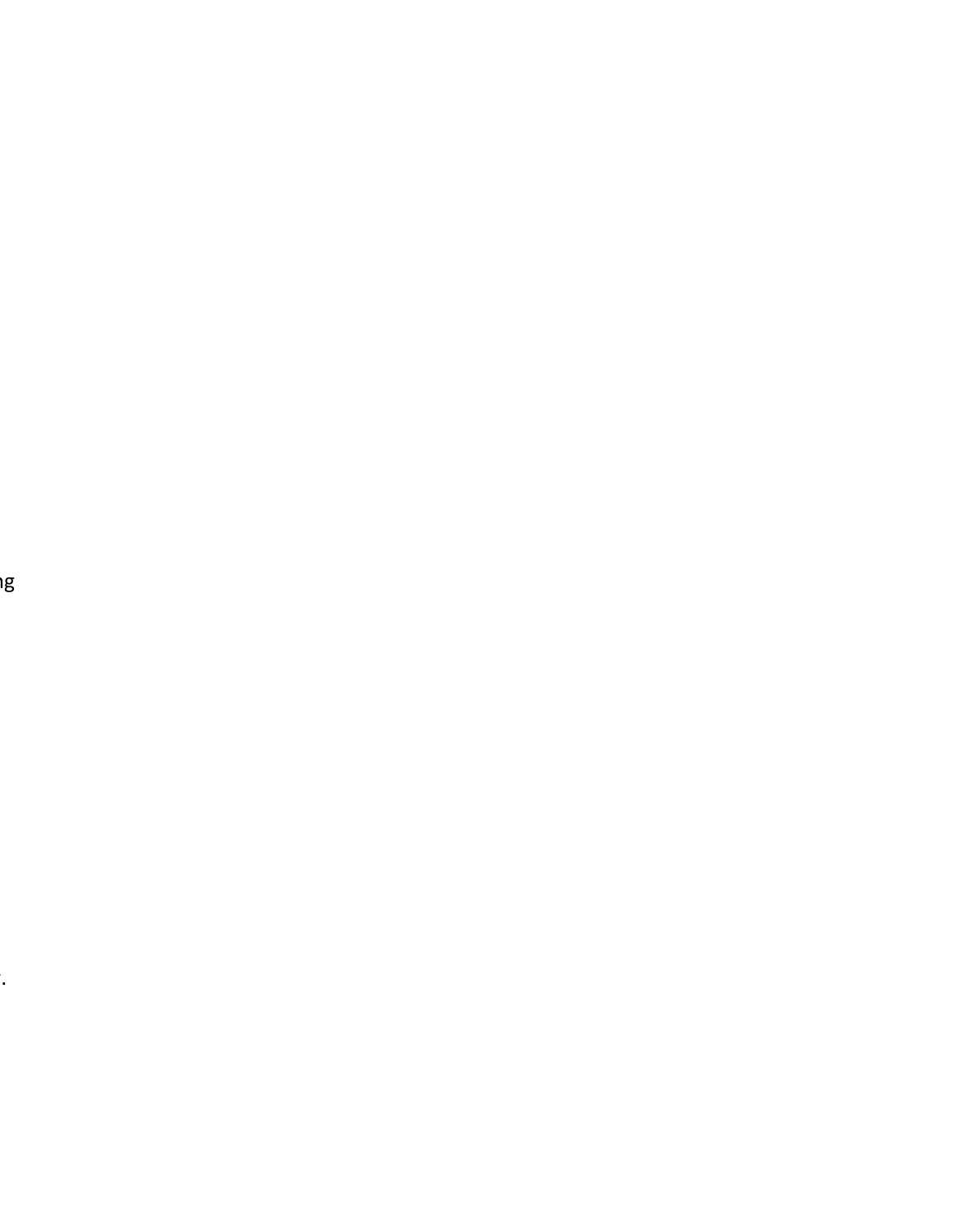er<br>I

 $\mathbf{E}$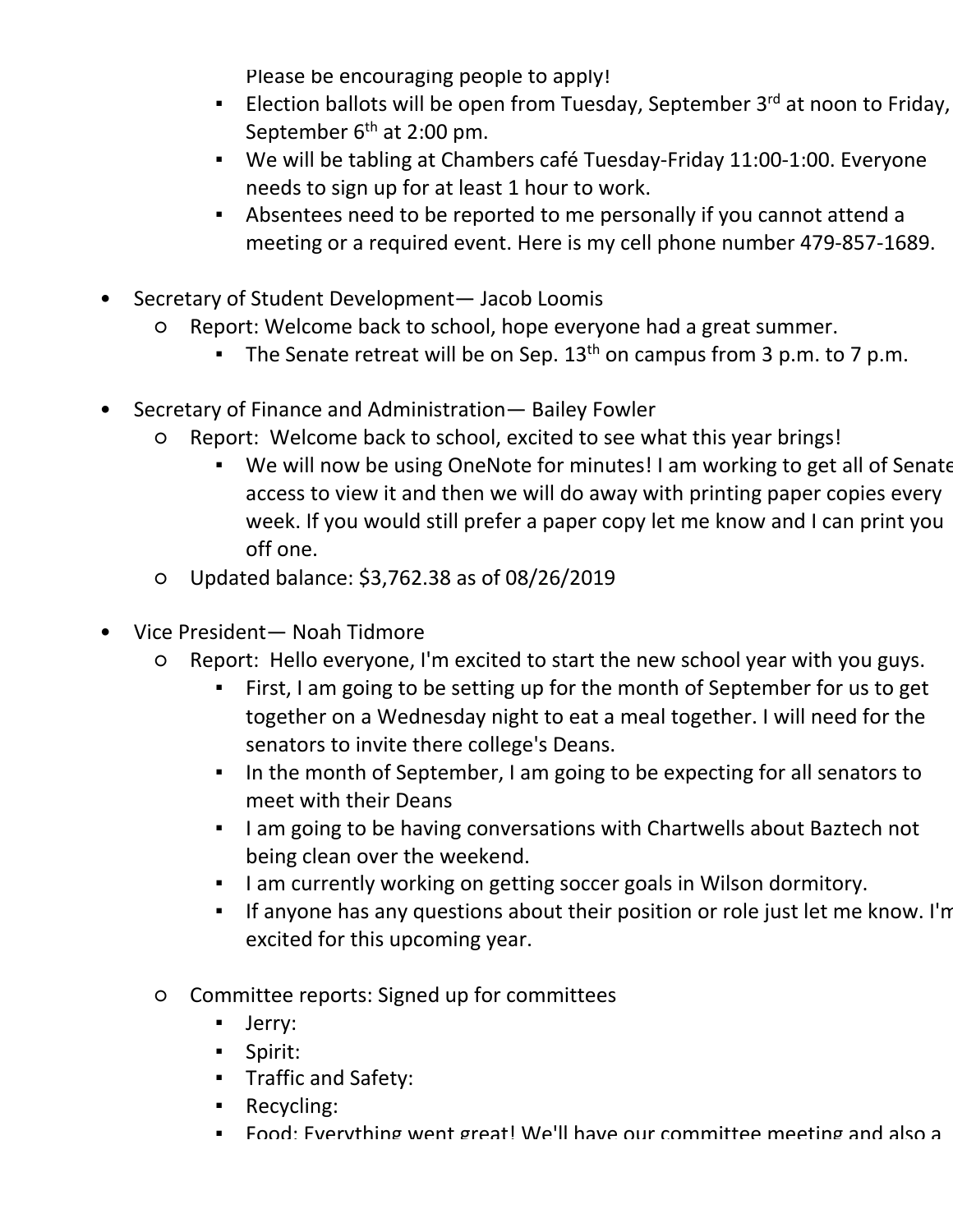- Report: Looking forward to a great year with everyone!
	- Polos and Name tags
	- ▪

Please be encouraging people to apply!

- **Election ballots will be open from Tuesday, September 3rd at noon to Friday,** September  $6<sup>th</sup>$  at 2:00 pm.
- We will be tabling at Chambers café Tuesday-Friday 11:00-1:00. Everyone needs to sign up for at least 1 hour to work.
- Absentees need to be reported to me personally if you cannot attend a meeting or a required event. Here is my cell phone number 479-857-1689. ▪
- Secretary of Student Development— Jacob Loomis •
	- Report: Welcome back to school, hope everyone had a great summer. ○
		- The Senate retreat will be on Sep.  $13<sup>th</sup>$  on campus from 3 p.m. to 7 p.m.
- Secretary of Finance and Administration— Bailey Fowler •
	- Report: Welcome back to school, excited to see what this year brings! ○
		- We will now be using OneNote for minutes! I am working to get all of Senate access to view it and then we will do away with printing paper copies every week. If you would still prefer a paper copy let me know and I can print you off one. ▪
	- Updated balance: \$3,762.38 as of 08/26/2019
- Vice President— Noah Tidmore •
	- Report: Hello everyone, I'm excited to start the new school year with you guys. ○
		- First, I am going to be setting up for the month of September for us to get together on a Wednesday night to eat a meal together. I will need for the senators to invite there college's Deans. ▪
		- **.** In the month of September, I am going to be expecting for all senators to meet with their Deans
		- **.** I am going to be having conversations with Chartwells about Baztech not being clean over the weekend.
		- I am currently working on getting soccer goals in Wilson dormitory.
		- If anyone has any questions about their position or role just let me know. I'm excited for this upcoming year.  $\blacksquare$
	- Committee reports: Signed up for committees ○
		- Jerry:
		- Spirit:
		- Traffic and Safety:
		- Recycling:
		- Food: Everything went great! We'll have our committee meeting and also a ▪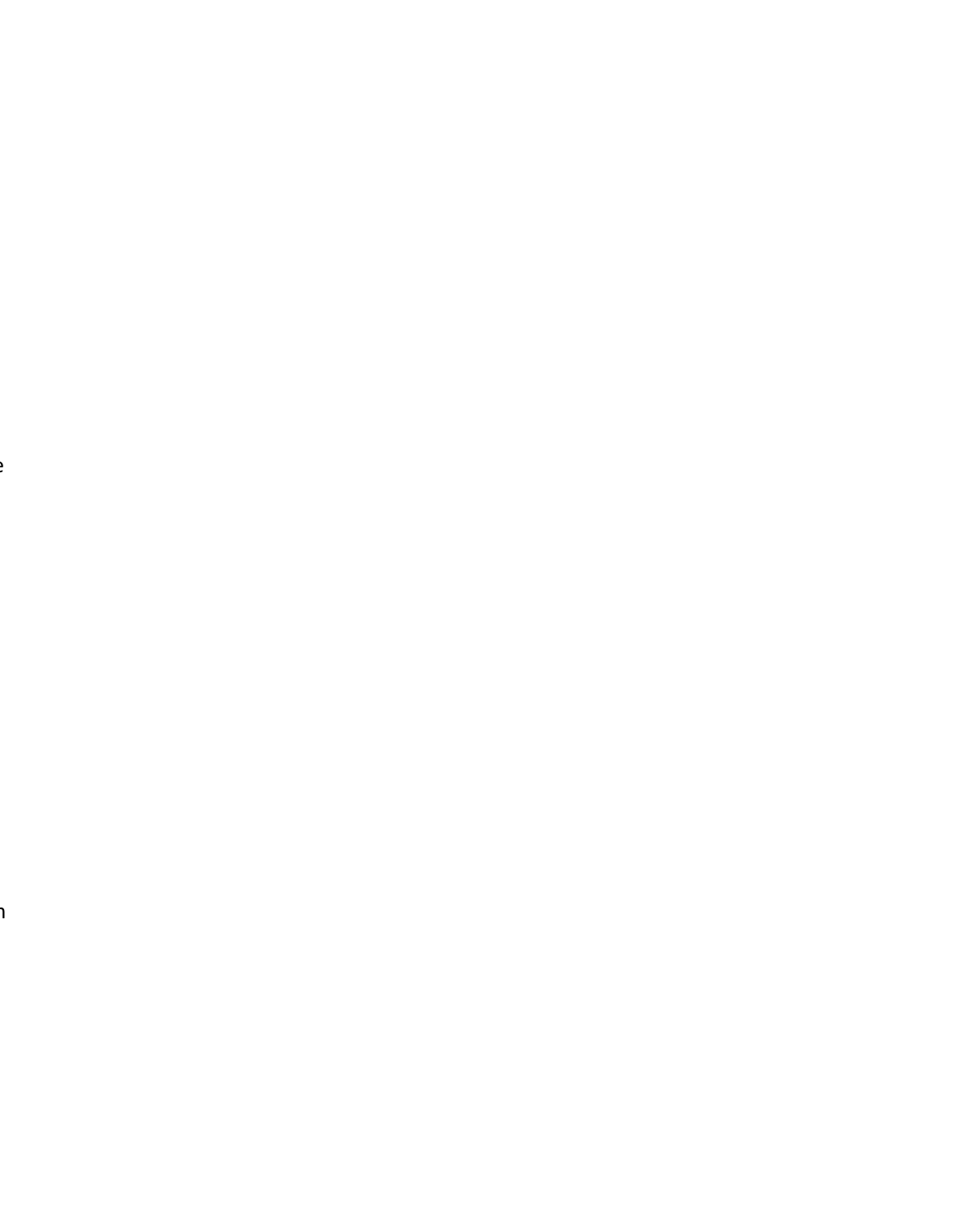$\ddot{\phantom{a}}$ 

 $\mathbf{a}$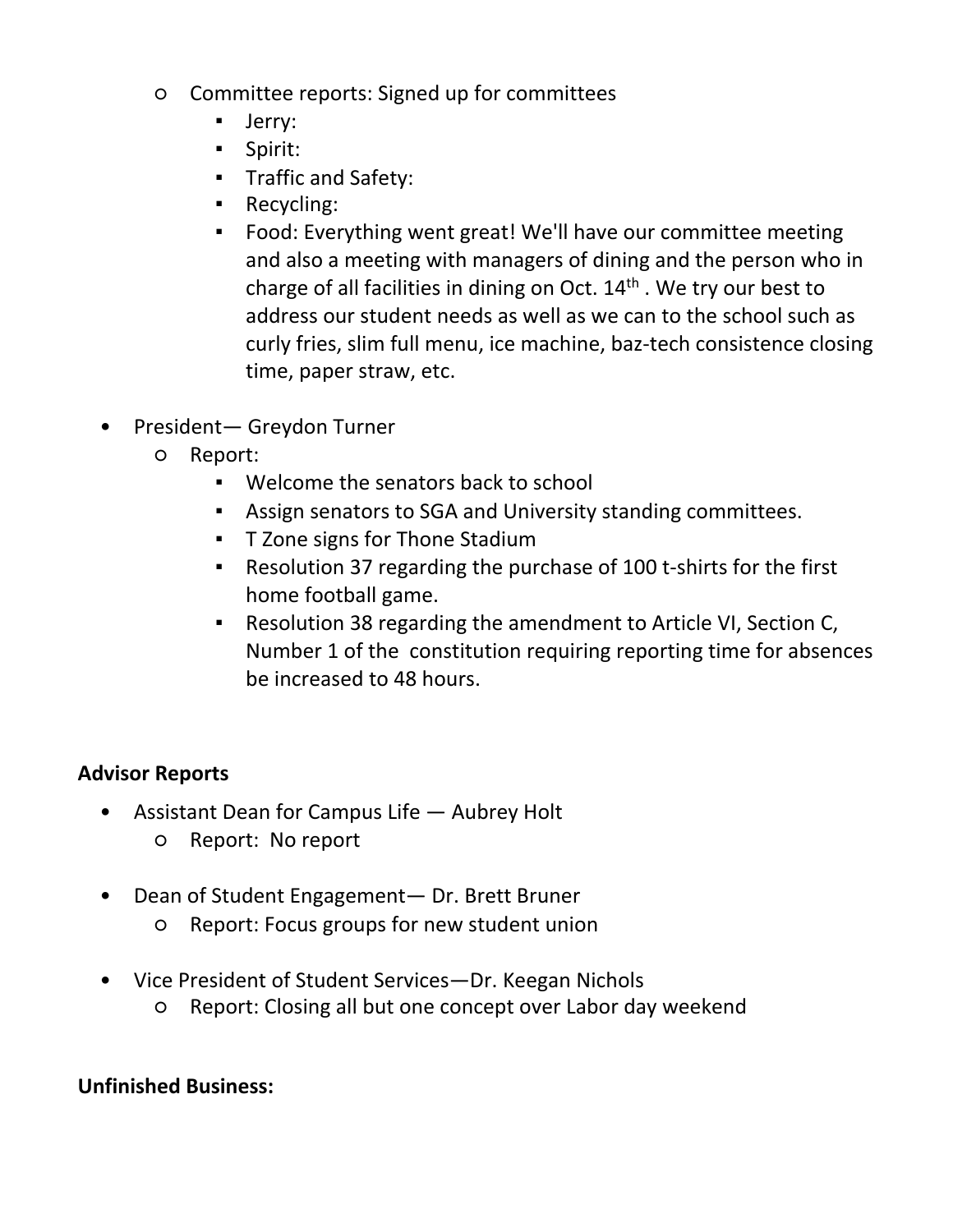- If anyone has any questions about their position or role just let me know. I'm excited for this upcoming year. ▪
- Committee reports: Signed up for committees ○
	- Jerry:
	- Spirit:
	- Traffic and Safety:
	- Recycling:
	- **Food: Everything went great! We'll have our committee meeting** and also a meeting with managers of dining and the person who in charge of all facilities in dining on Oct.  $14<sup>th</sup>$ . We try our best to address our student needs as well as we can to the school such as curly fries, slim full menu, ice machine, baz-tech consistence closing time, paper straw, etc.
- President— Greydon Turner  $\bullet$ 
	- Report: ○
		- Welcome the senators back to school
		- Assign senators to SGA and University standing committees.
		- T Zone signs for Thone Stadium
		- **•** Resolution 37 regarding the purchase of 100 t-shirts for the first home football game.
		- **EXERGE 13 TE ATT INCOCOLD FOR THE SET IS ALLO** FIGUROM FORCION C, Number 1 of the constitution requiring reporting time for absences be increased to 48 hours.

# **Advisor Reports**

- Assistant Dean for Campus Life Aubrey Holt •
	- Report: No report
- Dean of Student Engagement— Dr. Brett Bruner •
	- Report: Focus groups for new student union
- Vice President of Student Services—Dr. Keegan Nichols  $\bullet$ 
	- Report: Closing all but one concept over Labor day weekend

# **Unfinished Business:**

**New Business:**